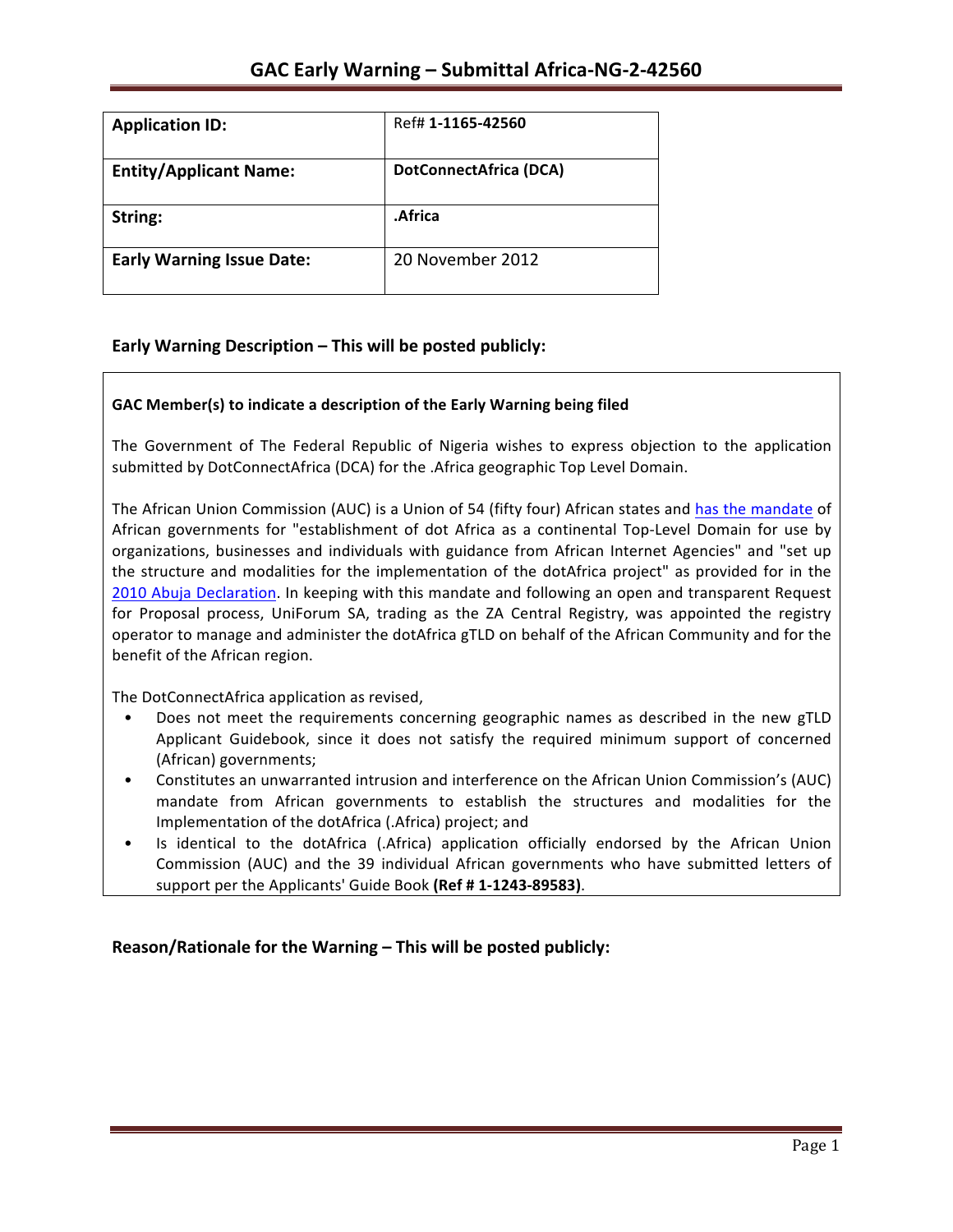| <b>Application ID:</b>           | Ref# 1-1165-42560      |
|----------------------------------|------------------------|
| <b>Entity/Applicant Name:</b>    | DotConnectAfrica (DCA) |
| String:                          | .Africa                |
| <b>Early Warning Issue Date:</b> | 20 November 2012       |

## **Early Warning Description – This will be posted publicly:**

#### GAC Member(s) to indicate a description of the Early Warning being filed

The Government of The Federal Republic of Nigeria wishes to express objection to the application submitted by DotConnectAfrica (DCA) for the .Africa geographic Top Level Domain.

The African Union Commission (AUC) is a Union of 54 (fifty four) African states and has the mandate of African governments for "establishment of dot Africa as a continental Top-Level Domain for use by organizations, businesses and individuals with guidance from African Internet Agencies" and "set up the structure and modalities for the implementation of the dotAfrica project" as provided for in the 2010 Abuja Declaration. In keeping with this mandate and following an open and transparent Request for Proposal process, UniForum SA, trading as the ZA Central Registry, was appointed the registry operator to manage and administer the dotAfrica gTLD on behalf of the African Community and for the benefit of the African region.

The DotConnectAfrica application as revised,

- Does not meet the requirements concerning geographic names as described in the new gTLD Applicant Guidebook, since it does not satisfy the required minimum support of concerned (African) governments;
- Constitutes an unwarranted intrusion and interference on the African Union Commission's (AUC) mandate from African governments to establish the structures and modalities for the Implementation of the dotAfrica (.Africa) project; and
- Is identical to the dotAfrica (.Africa) application officially endorsed by the African Union Commission (AUC) and the 39 individual African governments who have submitted letters of support per the Applicants' Guide Book (Ref # 1-1243-89583).

**Reason/Rationale for the Warning – This will be posted publicly:**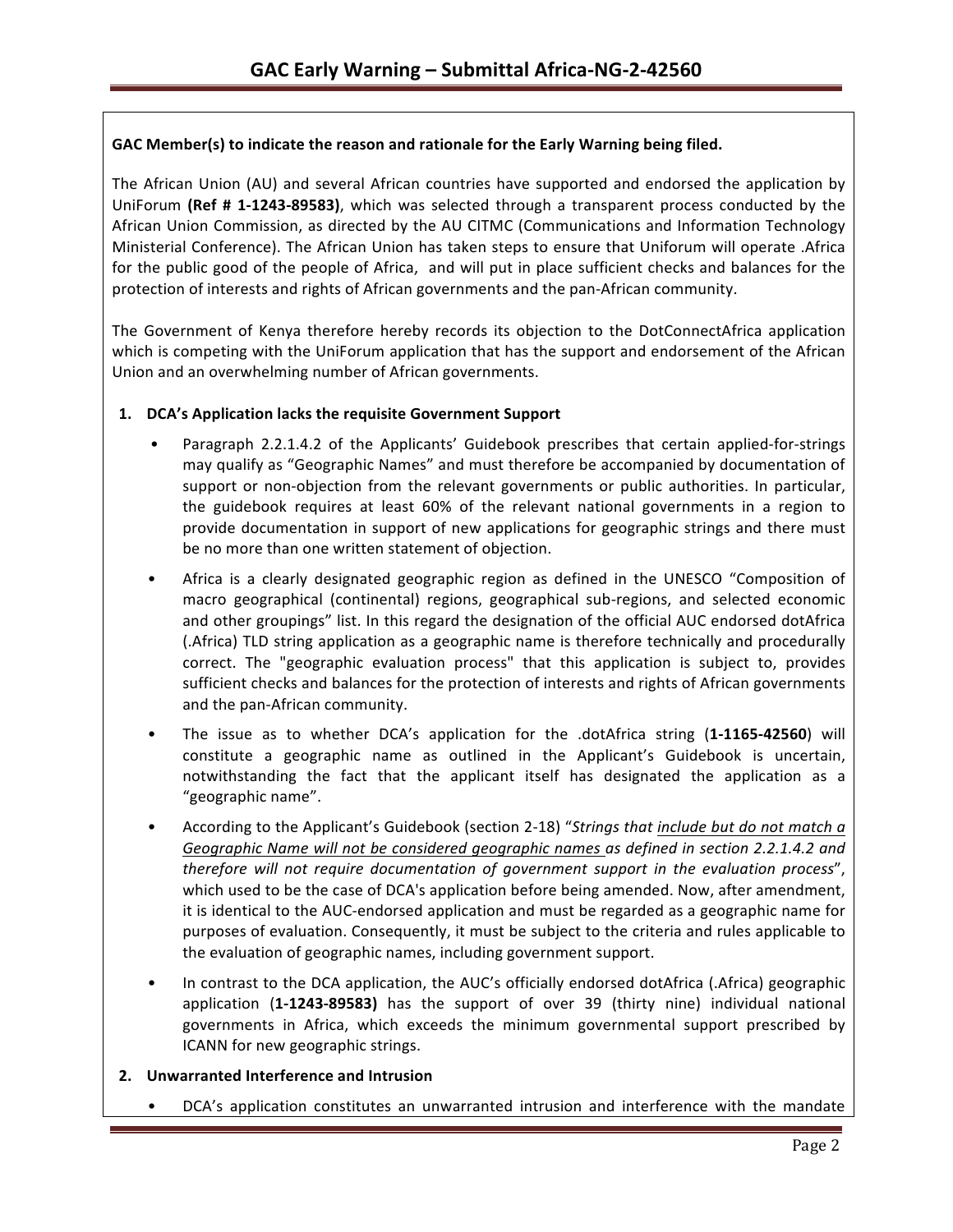### GAC Member(s) to indicate the reason and rationale for the Early Warning being filed.

The African Union (AU) and several African countries have supported and endorsed the application by UniForum (Ref # 1-1243-89583), which was selected through a transparent process conducted by the African Union Commission, as directed by the AU CITMC (Communications and Information Technology Ministerial Conference). The African Union has taken steps to ensure that Uniforum will operate .Africa for the public good of the people of Africa, and will put in place sufficient checks and balances for the protection of interests and rights of African governments and the pan-African community.

The Government of Kenya therefore hereby records its objection to the DotConnectAfrica application which is competing with the UniForum application that has the support and endorsement of the African Union and an overwhelming number of African governments.

#### 1. **DCA's Application lacks the requisite Government Support**

- Paragraph 2.2.1.4.2 of the Applicants' Guidebook prescribes that certain applied-for-strings may qualify as "Geographic Names" and must therefore be accompanied by documentation of support or non-objection from the relevant governments or public authorities. In particular, the guidebook requires at least 60% of the relevant national governments in a region to provide documentation in support of new applications for geographic strings and there must be no more than one written statement of objection.
- Africa is a clearly designated geographic region as defined in the UNESCO "Composition of macro geographical (continental) regions, geographical sub-regions, and selected economic and other groupings" list. In this regard the designation of the official AUC endorsed dotAfrica (.Africa) TLD string application as a geographic name is therefore technically and procedurally correct. The "geographic evaluation process" that this application is subject to, provides sufficient checks and balances for the protection of interests and rights of African governments and the pan-African community.
- The issue as to whether DCA's application for the .dotAfrica string (1-1165-42560) will constitute a geographic name as outlined in the Applicant's Guidebook is uncertain, notwithstanding the fact that the applicant itself has designated the application as a "geographic name".
- According to the Applicant's Guidebook (section 2-18) "Strings that *include but do not match a* Geographic Name will not be considered geographic names as defined in section 2.2.1.4.2 and *therefore will not require documentation of government support in the evaluation process"*, which used to be the case of DCA's application before being amended. Now, after amendment, it is identical to the AUC-endorsed application and must be regarded as a geographic name for purposes of evaluation. Consequently, it must be subject to the criteria and rules applicable to the evaluation of geographic names, including government support.
- In contrast to the DCA application, the AUC's officially endorsed dotAfrica (.Africa) geographic application (1-1243-89583) has the support of over 39 (thirty nine) individual national governments in Africa, which exceeds the minimum governmental support prescribed by ICANN for new geographic strings.

#### **2. Unwarranted Interference and Intrusion**

DCA's application constitutes an unwarranted intrusion and interference with the mandate